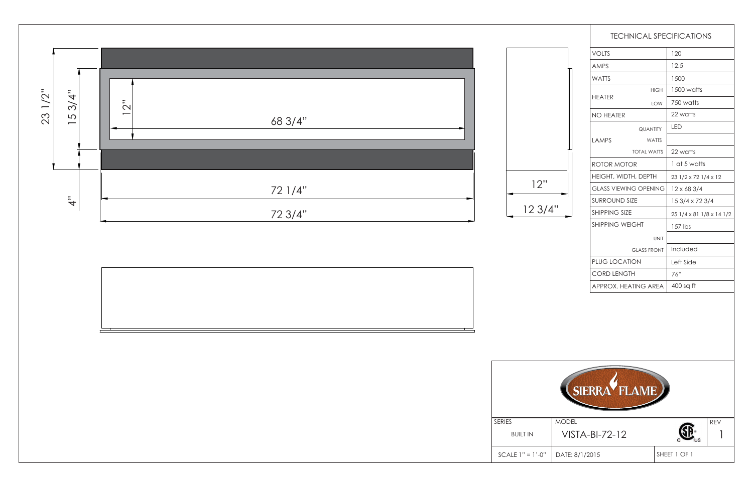1

|                             |                              | <b>TECHNICAL SPECIFICATIONS</b> |
|-----------------------------|------------------------------|---------------------------------|
| <b>VOLTS</b>                |                              | 120                             |
| <b>AMPS</b>                 |                              | 12.5                            |
| <b>WATTS</b>                |                              | 1500                            |
| <b>HFATFR</b>               | <b>HIGH</b>                  | 1500 watts                      |
|                             | <b>LOW</b>                   | 750 watts                       |
| <b>NO HEATER</b>            |                              | 22 watts                        |
|                             | <b>QUANTITY</b>              | LED                             |
| <b>LAMPS</b>                | <b>WATTS</b>                 |                                 |
|                             | <b>TOTAL WATTS</b>           | 22 watts                        |
| ROTOR MOTOR                 |                              | 1 at 5 watts                    |
| <b>HEIGHT, WIDTH, DEPTH</b> |                              | $231/2 \times 721/4 \times 12$  |
|                             | <b>GLASS VIEWING OPENING</b> | $12 \times 683/4$               |
| <b>SURROUND SIZE</b>        |                              | 15 3/4 x 72 3/4                 |
| SHIPPING SIZE               |                              | 25 1/4 x 81 1/8 x 14 1/2        |
| <b>SHIPPING WEIGHT</b>      |                              | 157 lbs                         |
|                             | <b>UNIT</b>                  |                                 |
|                             | <b>GLASS FRONT</b>           | Included                        |
| <b>PLUG LOCATION</b>        |                              | Left Side                       |
| <b>CORD LENGTH</b>          |                              | 76"                             |
|                             | APPROX, HEATING AREA         | 400 sq ft                       |





| SERIES             |          |
|--------------------|----------|
| <b>BUILT IN</b>    |          |
| $SCALE 1" = 1'-0"$ | $\Gamma$ |



DATE: 8/1/2015

SHEET 1 OF 1

VISTA-BI-72-12